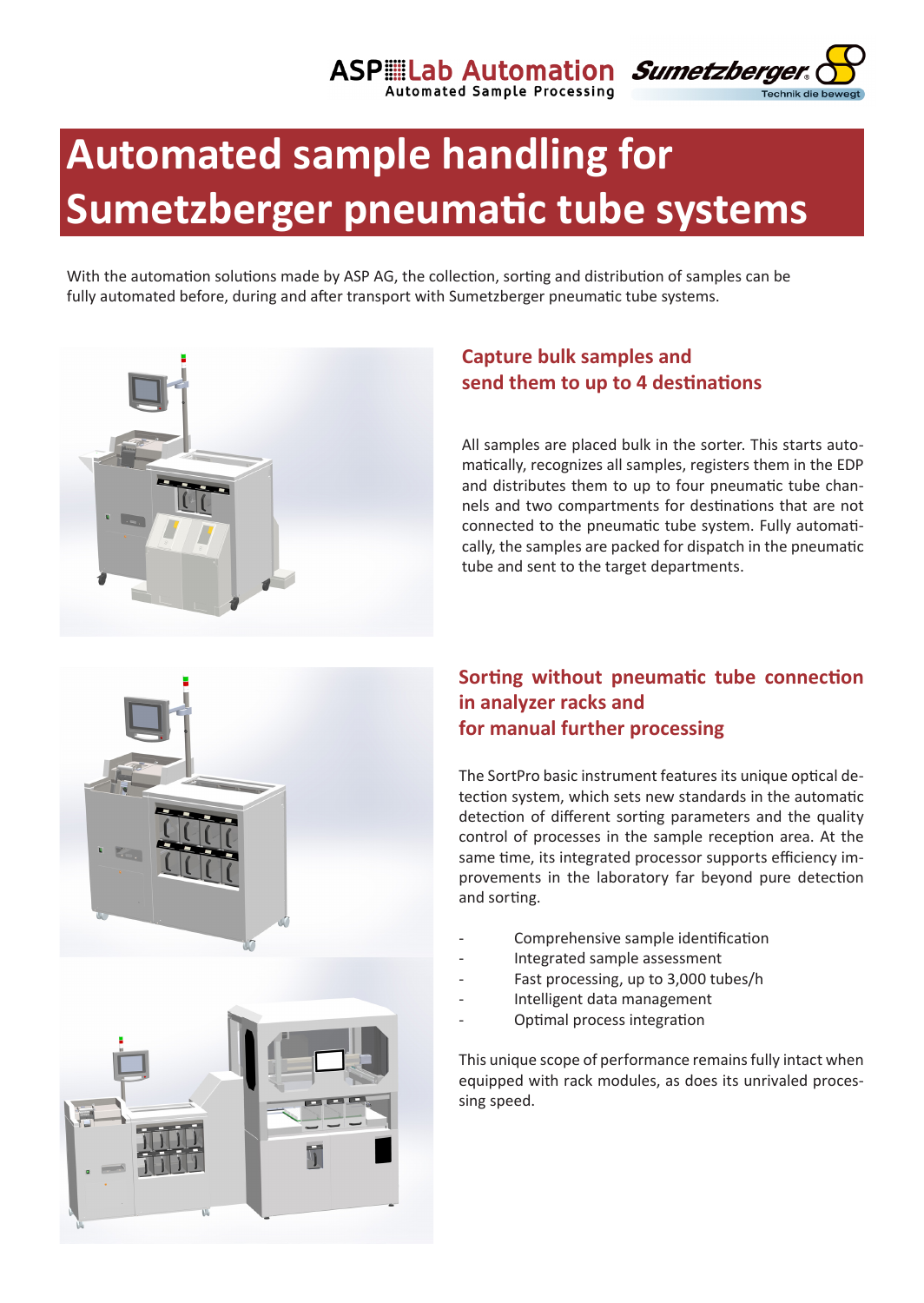



# **Automated sample handling for Sumetzberger pneumatic tube systems**

With the automation solutions made by ASP AG, the collection, sorting and distribution of samples can be fully automated before, during and after transport with Sumetzberger pneumatic tube systems.



## **Capture bulk samples and send them to up to 4 destinations**

All samples are placed bulk in the sorter. This starts automatically, recognizes all samples, registers them in the EDP and distributes them to up to four pneumatic tube channels and two compartments for destinations that are not connected to the pneumatic tube system. Fully automatically, the samples are packed for dispatch in the pneumatic tube and sent to the target departments.



#### **Sorting without pneumatic tube connection in analyzer racks and for manual further processing**

The SortPro basic instrument features its unique optical detection system, which sets new standards in the automatic detection of different sorting parameters and the quality control of processes in the sample reception area. At the same time, its integrated processor supports efficiency improvements in the laboratory far beyond pure detection and sorting.

- Comprehensive sample identification
- Integrated sample assessment
- Fast processing, up to 3,000 tubes/h
- Intelligent data management
- Optimal process integration

This unique scope of performance remains fully intact when equipped with rack modules, as does its unrivaled processing speed.